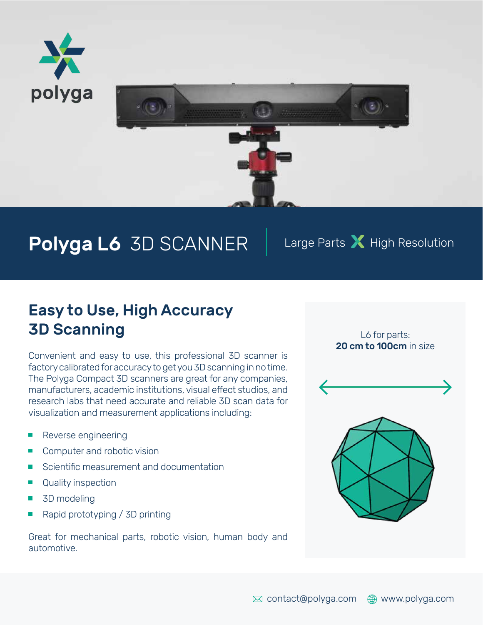



# Polyga L6 3D SCANNER | Large Parts X High Resolution

### Easy to Use, High Accuracy **3D Scanning Let be a set of the SCANNING** Let  $\mathsf{L6}$  for parts:

Convenient and easy to use, this professional 3D scanner is factory calibrated for accuracy to get you 3D scanning in no time. The Polyga Compact 3D scanners are great for any companies, manufacturers, academic institutions, visual effect studios, and research labs that need accurate and reliable 3D scan data for visualization and measurement applications including:

- **Reverse engineering**
- Computer and robotic vision
- $\blacksquare$  Scientific measurement and documentation
- **Quality inspection**
- **3D** modeling
- Rapid prototyping / 3D printing

Great for mechanical parts, robotic vision, human body and automotive.

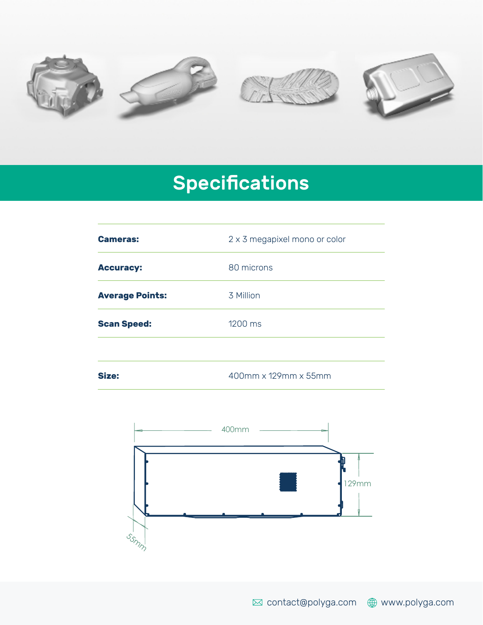

# **Specifications**

| <b>Cameras:</b>        | 2 x 3 megapixel mono or color |
|------------------------|-------------------------------|
| <b>Accuracy:</b>       | 80 microns                    |
| <b>Average Points:</b> | 3 Million                     |
| <b>Scan Speed:</b>     | 1200 ms                       |
|                        |                               |
| Size:                  | 400mm x 129mm x 55mm          |